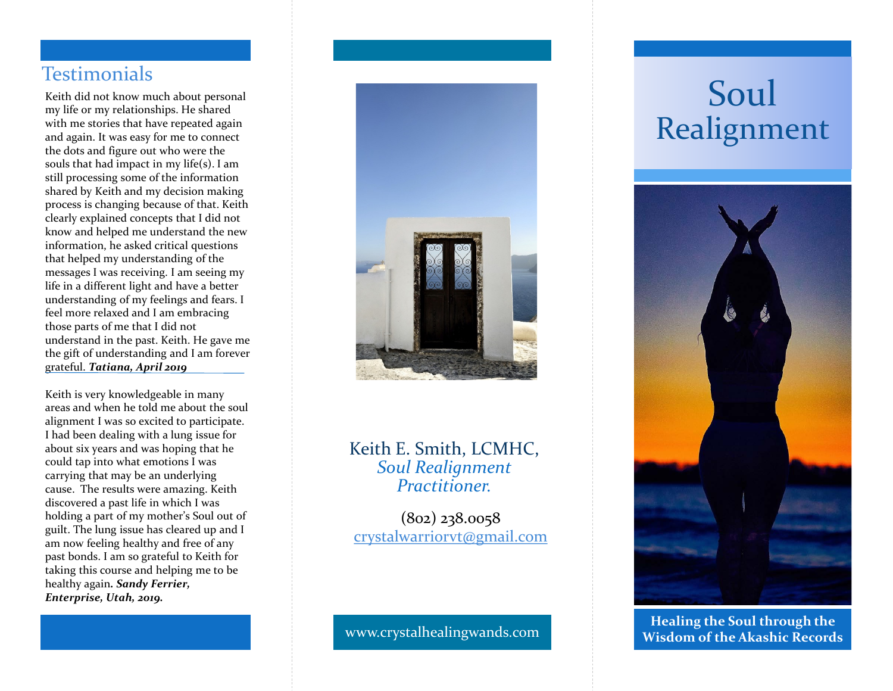## **Testimonials**

Keith did not know much about personal my life or my relationships. He shared with me stories that have repeated again and again. It was easy for me to connect the dots and figure out who were the souls that had impact in my life(s). I am still processing some of the information shared by Keith and my decision making process is changing because of that. Keith clearly explained concepts that I did not know and helped me understand the new information, he asked critical questions that helped my understanding of the messages I was receiving. I am seeing my life in a different light and have a better understanding of my feelings and fears. I feel more relaxed and I am embracing those parts of me that I did not understand in the past. Keith. He gave me the gift of understanding and I am forever grateful. *Tatiana, April 2019*

Keith is very knowledgeable in many areas and when he told me about the soul alignment I was so excited to participate. I had been dealing with a lung issue for about six years and was hoping that he could tap into what emotions I was carrying that may be an underlying cause. The results were amazing. Keith discovered a past life in which I was holding a part of my mother's Soul out of guilt. The lung issue has cleared up and I am now feeling healthy and free of any past bonds. I am so grateful to Keith for taking this course and helping me to be healthy again*. Sandy Ferrier, Enterprise, Utah, 2019 .*



#### Keith E. Smith, LCMHC, *Soul Realignment Practitioner.*

(802) 238.0058 [crystalwarriorvt@gmail.com](mailto:crystalwarriorvt@gmail.com)

# Soul Realignment



www.crystalhealingwands.com **Healing the Soul through the Wisdom of the Akashic Records**